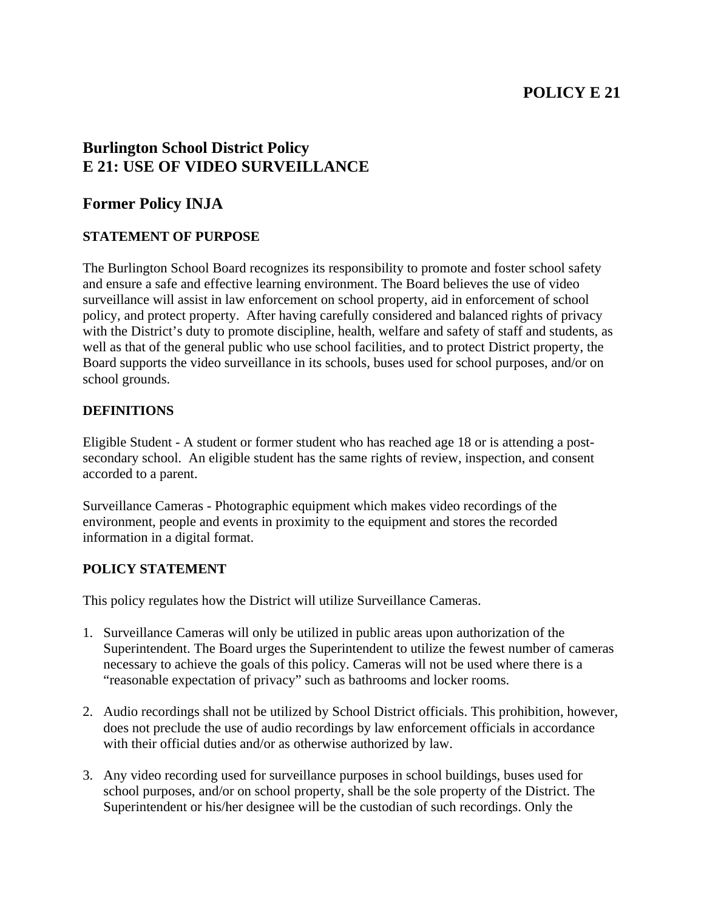# **POLICY E 21**

## **Burlington School District Policy E 21: USE OF VIDEO SURVEILLANCE**

### **Former Policy INJA**

#### **STATEMENT OF PURPOSE**

The Burlington School Board recognizes its responsibility to promote and foster school safety and ensure a safe and effective learning environment. The Board believes the use of video surveillance will assist in law enforcement on school property, aid in enforcement of school policy, and protect property. After having carefully considered and balanced rights of privacy with the District's duty to promote discipline, health, welfare and safety of staff and students, as well as that of the general public who use school facilities, and to protect District property, the Board supports the video surveillance in its schools, buses used for school purposes, and/or on school grounds.

#### **DEFINITIONS**

Eligible Student - A student or former student who has reached age 18 or is attending a postsecondary school. An eligible student has the same rights of review, inspection, and consent accorded to a parent.

Surveillance Cameras - Photographic equipment which makes video recordings of the environment, people and events in proximity to the equipment and stores the recorded information in a digital format.

#### **POLICY STATEMENT**

This policy regulates how the District will utilize Surveillance Cameras.

- 1. Surveillance Cameras will only be utilized in public areas upon authorization of the Superintendent. The Board urges the Superintendent to utilize the fewest number of cameras necessary to achieve the goals of this policy. Cameras will not be used where there is a "reasonable expectation of privacy" such as bathrooms and locker rooms.
- 2. Audio recordings shall not be utilized by School District officials. This prohibition, however, does not preclude the use of audio recordings by law enforcement officials in accordance with their official duties and/or as otherwise authorized by law.
- 3. Any video recording used for surveillance purposes in school buildings, buses used for school purposes, and/or on school property, shall be the sole property of the District. The Superintendent or his/her designee will be the custodian of such recordings. Only the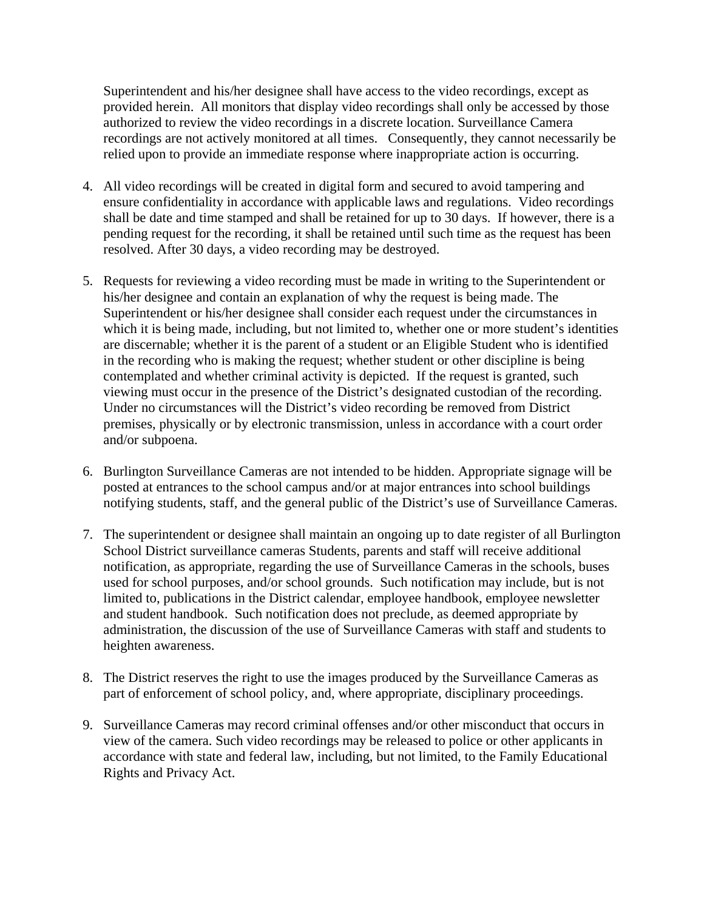Superintendent and his/her designee shall have access to the video recordings, except as provided herein. All monitors that display video recordings shall only be accessed by those authorized to review the video recordings in a discrete location. Surveillance Camera recordings are not actively monitored at all times. Consequently, they cannot necessarily be relied upon to provide an immediate response where inappropriate action is occurring.

- 4. All video recordings will be created in digital form and secured to avoid tampering and ensure confidentiality in accordance with applicable laws and regulations. Video recordings shall be date and time stamped and shall be retained for up to 30 days. If however, there is a pending request for the recording, it shall be retained until such time as the request has been resolved. After 30 days, a video recording may be destroyed.
- 5. Requests for reviewing a video recording must be made in writing to the Superintendent or his/her designee and contain an explanation of why the request is being made. The Superintendent or his/her designee shall consider each request under the circumstances in which it is being made, including, but not limited to, whether one or more student's identities are discernable; whether it is the parent of a student or an Eligible Student who is identified in the recording who is making the request; whether student or other discipline is being contemplated and whether criminal activity is depicted. If the request is granted, such viewing must occur in the presence of the District's designated custodian of the recording. Under no circumstances will the District's video recording be removed from District premises, physically or by electronic transmission, unless in accordance with a court order and/or subpoena.
- 6. Burlington Surveillance Cameras are not intended to be hidden. Appropriate signage will be posted at entrances to the school campus and/or at major entrances into school buildings notifying students, staff, and the general public of the District's use of Surveillance Cameras.
- 7. The superintendent or designee shall maintain an ongoing up to date register of all Burlington School District surveillance cameras Students, parents and staff will receive additional notification, as appropriate, regarding the use of Surveillance Cameras in the schools, buses used for school purposes, and/or school grounds. Such notification may include, but is not limited to, publications in the District calendar, employee handbook, employee newsletter and student handbook. Such notification does not preclude, as deemed appropriate by administration, the discussion of the use of Surveillance Cameras with staff and students to heighten awareness.
- 8. The District reserves the right to use the images produced by the Surveillance Cameras as part of enforcement of school policy, and, where appropriate, disciplinary proceedings.
- 9. Surveillance Cameras may record criminal offenses and/or other misconduct that occurs in view of the camera. Such video recordings may be released to police or other applicants in accordance with state and federal law, including, but not limited, to the Family Educational Rights and Privacy Act.